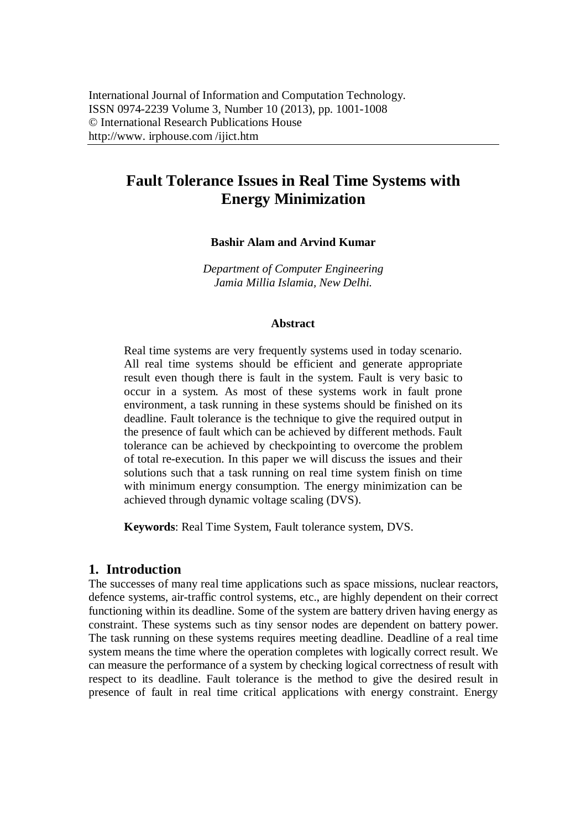# **Fault Tolerance Issues in Real Time Systems with Energy Minimization**

**Bashir Alam and Arvind Kumar**

*Department of Computer Engineering Jamia Millia Islamia, New Delhi.*

#### **Abstract**

Real time systems are very frequently systems used in today scenario. All real time systems should be efficient and generate appropriate result even though there is fault in the system. Fault is very basic to occur in a system. As most of these systems work in fault prone environment, a task running in these systems should be finished on its deadline. Fault tolerance is the technique to give the required output in the presence of fault which can be achieved by different methods. Fault tolerance can be achieved by checkpointing to overcome the problem of total re-execution. In this paper we will discuss the issues and their solutions such that a task running on real time system finish on time with minimum energy consumption. The energy minimization can be achieved through dynamic voltage scaling (DVS).

**Keywords**: Real Time System, Fault tolerance system, DVS.

#### **1. Introduction**

The successes of many real time applications such as space missions, nuclear reactors, defence systems, air-traffic control systems, etc., are highly dependent on their correct functioning within its deadline. Some of the system are battery driven having energy as constraint. These systems such as tiny sensor nodes are dependent on battery power. The task running on these systems requires meeting deadline. Deadline of a real time system means the time where the operation completes with logically correct result. We can measure the performance of a system by checking logical correctness of result with respect to its deadline. Fault tolerance is the method to give the desired result in presence of fault in real time critical applications with energy constraint. Energy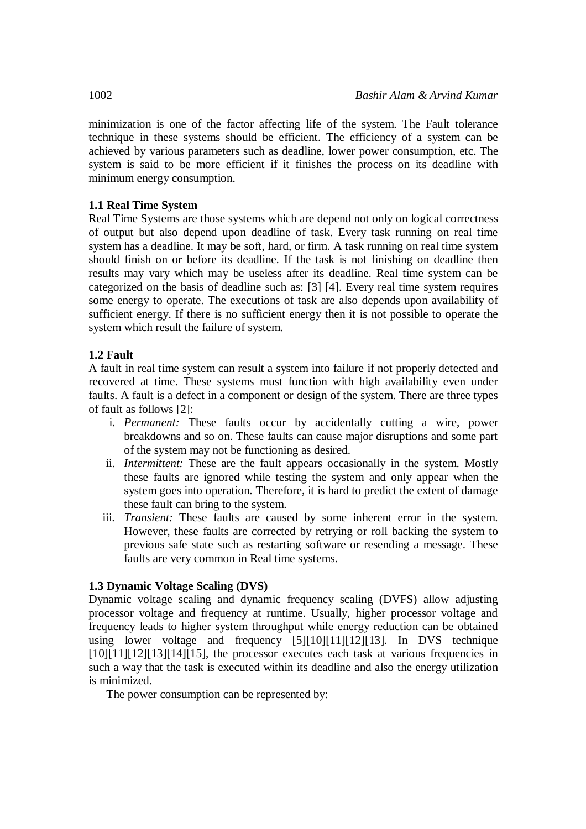minimization is one of the factor affecting life of the system. The Fault tolerance technique in these systems should be efficient. The efficiency of a system can be achieved by various parameters such as deadline, lower power consumption, etc. The system is said to be more efficient if it finishes the process on its deadline with minimum energy consumption.

#### **1.1 Real Time System**

Real Time Systems are those systems which are depend not only on logical correctness of output but also depend upon deadline of task. Every task running on real time system has a deadline. It may be soft, hard, or firm. A task running on real time system should finish on or before its deadline. If the task is not finishing on deadline then results may vary which may be useless after its deadline. Real time system can be categorized on the basis of deadline such as: [3] [4]. Every real time system requires some energy to operate. The executions of task are also depends upon availability of sufficient energy. If there is no sufficient energy then it is not possible to operate the system which result the failure of system.

## **1.2 Fault**

A fault in real time system can result a system into failure if not properly detected and recovered at time. These systems must function with high availability even under faults. A fault is a defect in a component or design of the system. There are three types of fault as follows [2]:

- i. *Permanent:* These faults occur by accidentally cutting a wire, power breakdowns and so on. These faults can cause major disruptions and some part of the system may not be functioning as desired.
- ii. *Intermittent:* These are the fault appears occasionally in the system. Mostly these faults are ignored while testing the system and only appear when the system goes into operation. Therefore, it is hard to predict the extent of damage these fault can bring to the system.
- iii. *Transient:* These faults are caused by some inherent error in the system. However, these faults are corrected by retrying or roll backing the system to previous safe state such as restarting software or resending a message. These faults are very common in Real time systems.

## **1.3 Dynamic Voltage Scaling (DVS)**

Dynamic voltage scaling and dynamic frequency scaling (DVFS) allow adjusting processor voltage and frequency at runtime. Usually, higher processor voltage and frequency leads to higher system throughput while energy reduction can be obtained using lower voltage and frequency [5][10][11][12][13]. In DVS technique  $[10][11][12][13][14][15]$ , the processor executes each task at various frequencies in such a way that the task is executed within its deadline and also the energy utilization is minimized.

The power consumption can be represented by: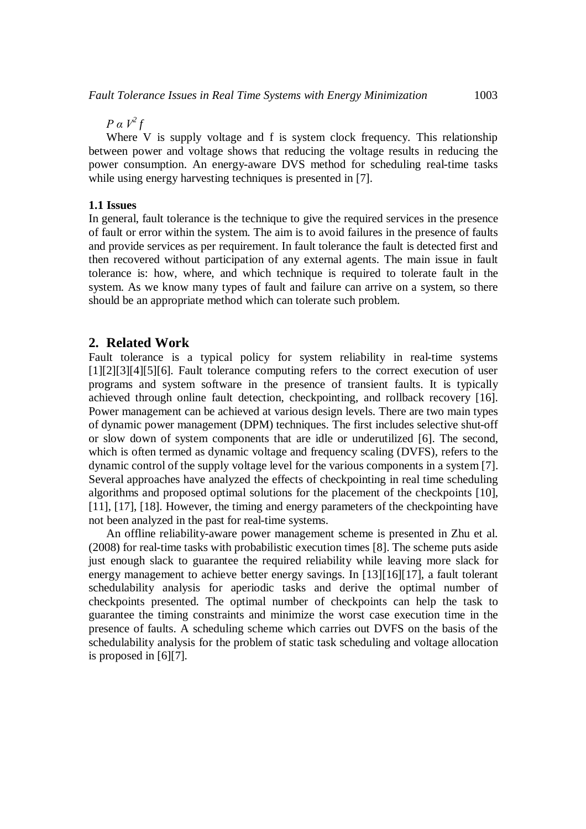*P α V<sup>2</sup> f*

Where V is supply voltage and f is system clock frequency. This relationship between power and voltage shows that reducing the voltage results in reducing the power consumption. An energy-aware DVS method for scheduling real-time tasks while using energy harvesting techniques is presented in [7].

#### **1.1 Issues**

In general, fault tolerance is the technique to give the required services in the presence of fault or error within the system. The aim is to avoid failures in the presence of faults and provide services as per requirement. In fault tolerance the fault is detected first and then recovered without participation of any external agents. The main issue in fault tolerance is: how, where, and which technique is required to tolerate fault in the system. As we know many types of fault and failure can arrive on a system, so there should be an appropriate method which can tolerate such problem.

### **2. Related Work**

Fault tolerance is a typical policy for system reliability in real-time systems [1][2][3][4][5][6]. Fault tolerance computing refers to the correct execution of user programs and system software in the presence of transient faults. It is typically achieved through online fault detection, checkpointing, and rollback recovery [16]. Power management can be achieved at various design levels. There are two main types of dynamic power management (DPM) techniques. The first includes selective shut-off or slow down of system components that are idle or underutilized [6]. The second, which is often termed as dynamic voltage and frequency scaling (DVFS), refers to the dynamic control of the supply voltage level for the various components in a system [7]. Several approaches have analyzed the effects of checkpointing in real time scheduling algorithms and proposed optimal solutions for the placement of the checkpoints [10], [11], [17], [18]. However, the timing and energy parameters of the checkpointing have not been analyzed in the past for real-time systems.

An offline reliability-aware power management scheme is presented in Zhu et al. (2008) for real-time tasks with probabilistic execution times [8]. The scheme puts aside just enough slack to guarantee the required reliability while leaving more slack for energy management to achieve better energy savings. In [13][16][17], a fault tolerant schedulability analysis for aperiodic tasks and derive the optimal number of checkpoints presented. The optimal number of checkpoints can help the task to guarantee the timing constraints and minimize the worst case execution time in the presence of faults. A scheduling scheme which carries out DVFS on the basis of the schedulability analysis for the problem of static task scheduling and voltage allocation is proposed in [6][7].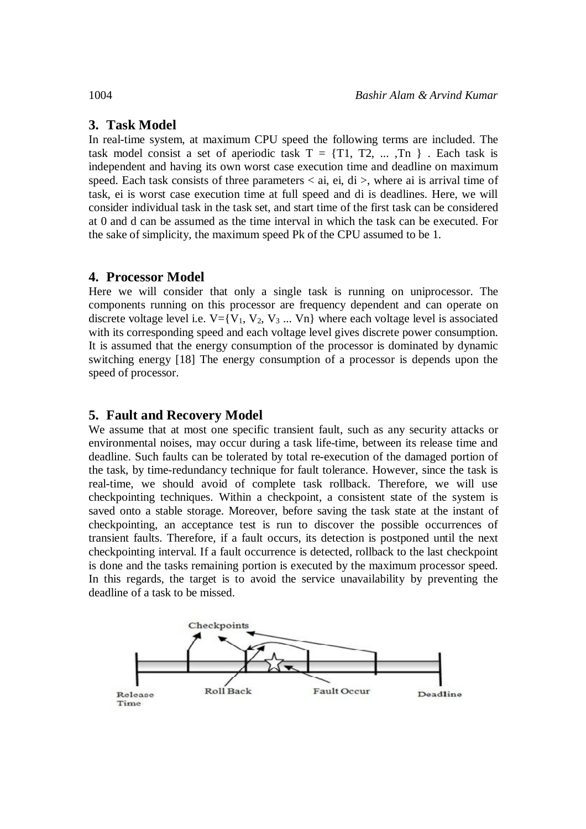## **3. Task Model**

In real-time system, at maximum CPU speed the following terms are included. The task model consist a set of aperiodic task  $T = \{T1, T2, \dots, Tn\}$ . Each task is independent and having its own worst case execution time and deadline on maximum speed. Each task consists of three parameters  $\lt$  ai, ei, di  $\gt$ , where ai is arrival time of task, ei is worst case execution time at full speed and di is deadlines. Here, we will consider individual task in the task set, and start time of the first task can be considered at 0 and d can be assumed as the time interval in which the task can be executed. For the sake of simplicity, the maximum speed Pk of the CPU assumed to be 1.

## **4. Processor Model**

Here we will consider that only a single task is running on uniprocessor. The components running on this processor are frequency dependent and can operate on discrete voltage level i.e.  $V=[V_1, V_2, V_3, \dots, V_n]$  where each voltage level is associated with its corresponding speed and each voltage level gives discrete power consumption. It is assumed that the energy consumption of the processor is dominated by dynamic switching energy [18] The energy consumption of a processor is depends upon the speed of processor.

## **5. Fault and Recovery Model**

We assume that at most one specific transient fault, such as any security attacks or environmental noises, may occur during a task life-time, between its release time and deadline. Such faults can be tolerated by total re-execution of the damaged portion of the task, by time-redundancy technique for fault tolerance. However, since the task is real-time, we should avoid of complete task rollback. Therefore, we will use checkpointing techniques. Within a checkpoint, a consistent state of the system is saved onto a stable storage. Moreover, before saving the task state at the instant of checkpointing, an acceptance test is run to discover the possible occurrences of transient faults. Therefore, if a fault occurs, its detection is postponed until the next checkpointing interval. If a fault occurrence is detected, rollback to the last checkpoint is done and the tasks remaining portion is executed by the maximum processor speed. In this regards, the target is to avoid the service unavailability by preventing the deadline of a task to be missed.

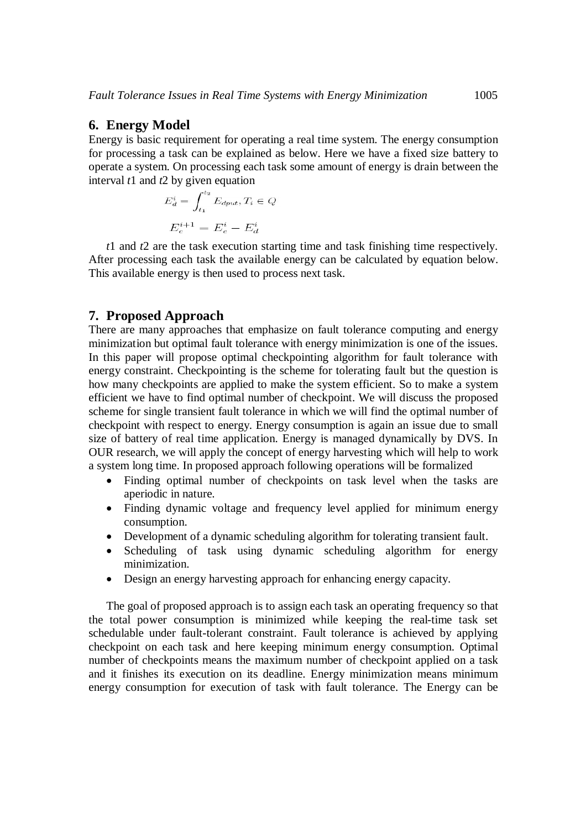#### **6. Energy Model**

Energy is basic requirement for operating a real time system. The energy consumption for processing a task can be explained as below. Here we have a fixed size battery to operate a system. On processing each task some amount of energy is drain between the interval *t*1 and *t*2 by given equation

$$
E_d^i = \int_{t_1}^{t_2} E_{dput}, T_i \in Q
$$

$$
E_c^{i+1} = E_c^i - E_d^i
$$

*t*1 and *t*2 are the task execution starting time and task finishing time respectively. After processing each task the available energy can be calculated by equation below. This available energy is then used to process next task.

#### **7. Proposed Approach**

There are many approaches that emphasize on fault tolerance computing and energy minimization but optimal fault tolerance with energy minimization is one of the issues. In this paper will propose optimal checkpointing algorithm for fault tolerance with energy constraint. Checkpointing is the scheme for tolerating fault but the question is how many checkpoints are applied to make the system efficient. So to make a system efficient we have to find optimal number of checkpoint. We will discuss the proposed scheme for single transient fault tolerance in which we will find the optimal number of checkpoint with respect to energy. Energy consumption is again an issue due to small size of battery of real time application. Energy is managed dynamically by DVS. In OUR research, we will apply the concept of energy harvesting which will help to work a system long time. In proposed approach following operations will be formalized

- Finding optimal number of checkpoints on task level when the tasks are aperiodic in nature.
- Finding dynamic voltage and frequency level applied for minimum energy consumption.
- Development of a dynamic scheduling algorithm for tolerating transient fault.
- Scheduling of task using dynamic scheduling algorithm for energy minimization.
- Design an energy harvesting approach for enhancing energy capacity.

The goal of proposed approach is to assign each task an operating frequency so that the total power consumption is minimized while keeping the real-time task set schedulable under fault-tolerant constraint. Fault tolerance is achieved by applying checkpoint on each task and here keeping minimum energy consumption. Optimal number of checkpoints means the maximum number of checkpoint applied on a task and it finishes its execution on its deadline. Energy minimization means minimum energy consumption for execution of task with fault tolerance. The Energy can be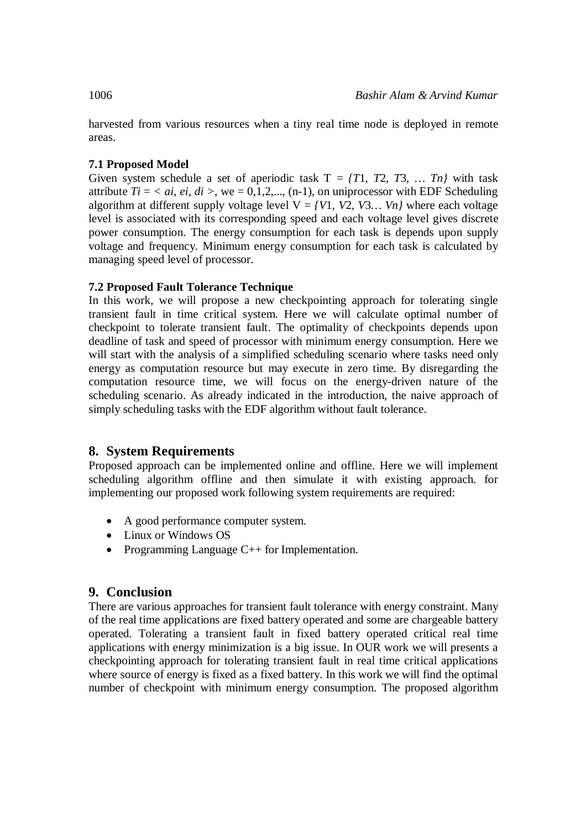harvested from various resources when a tiny real time node is deployed in remote areas.

## **7.1 Proposed Model**

Given system schedule a set of aperiodic task  $T = \{T1, T2, T3, \dots Tn\}$  with task attribute  $Ti = \langle ai, ei, di \rangle$ , we = 0,1,2,..., (n-1), on uniprocessor with EDF Scheduling algorithm at different supply voltage level  $V = \{V1, V2, V3... \mid Vn\}$  where each voltage level is associated with its corresponding speed and each voltage level gives discrete power consumption. The energy consumption for each task is depends upon supply voltage and frequency. Minimum energy consumption for each task is calculated by managing speed level of processor.

## **7.2 Proposed Fault Tolerance Technique**

In this work, we will propose a new checkpointing approach for tolerating single transient fault in time critical system. Here we will calculate optimal number of checkpoint to tolerate transient fault. The optimality of checkpoints depends upon deadline of task and speed of processor with minimum energy consumption. Here we will start with the analysis of a simplified scheduling scenario where tasks need only energy as computation resource but may execute in zero time. By disregarding the computation resource time, we will focus on the energy-driven nature of the scheduling scenario. As already indicated in the introduction, the naive approach of simply scheduling tasks with the EDF algorithm without fault tolerance.

# **8. System Requirements**

Proposed approach can be implemented online and offline. Here we will implement scheduling algorithm offline and then simulate it with existing approach. for implementing our proposed work following system requirements are required:

- A good performance computer system.
- Linux or Windows OS
- Programming Language C++ for Implementation.

# **9. Conclusion**

There are various approaches for transient fault tolerance with energy constraint. Many of the real time applications are fixed battery operated and some are chargeable battery operated. Tolerating a transient fault in fixed battery operated critical real time applications with energy minimization is a big issue. In OUR work we will presents a checkpointing approach for tolerating transient fault in real time critical applications where source of energy is fixed as a fixed battery. In this work we will find the optimal number of checkpoint with minimum energy consumption. The proposed algorithm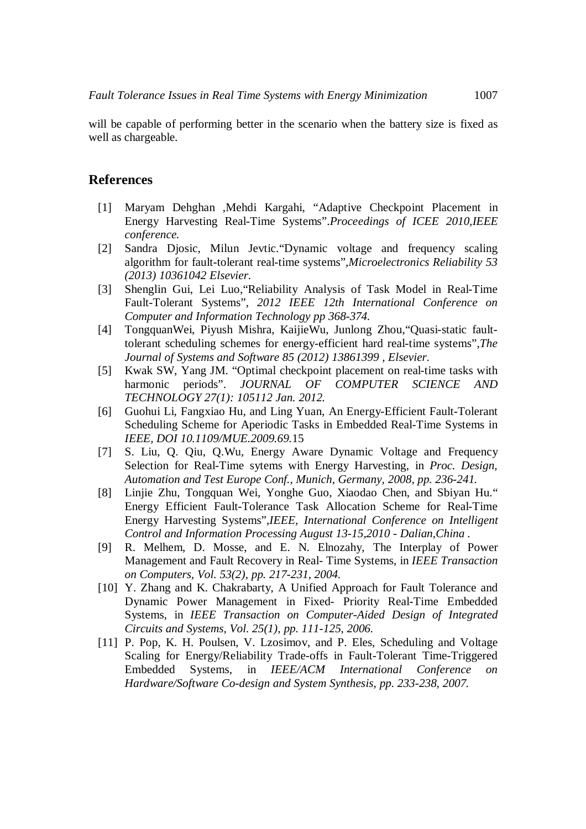will be capable of performing better in the scenario when the battery size is fixed as well as chargeable.

#### **References**

- [1] Maryam Dehghan ,Mehdi Kargahi, "Adaptive Checkpoint Placement in Energy Harvesting Real-Time Systems".*Proceedings of ICEE 2010,IEEE conference.*
- [2] Sandra Djosic, Milun Jevtic."Dynamic voltage and frequency scaling algorithm for fault-tolerant real-time systems",*Microelectronics Reliability 53 (2013) 10361042 Elsevier*.
- [3] Shenglin Gui, Lei Luo,"Reliability Analysis of Task Model in Real-Time Fault-Tolerant Systems", *2012 IEEE 12th International Conference on Computer and Information Technology pp 368-374.*
- [4] TongquanWei, Piyush Mishra, KaijieWu, Junlong Zhou,"Quasi-static faulttolerant scheduling schemes for energy-efficient hard real-time systems",*The Journal of Systems and Software 85 (2012) 13861399 , Elsevier*.
- [5] Kwak SW, Yang JM. "Optimal checkpoint placement on real-time tasks with harmonic periods". *JOURNAL OF COMPUTER SCIENCE AND TECHNOLOGY 27(1): 105112 Jan. 2012.*
- [6] Guohui Li, Fangxiao Hu, and Ling Yuan, An Energy-Efficient Fault-Tolerant Scheduling Scheme for Aperiodic Tasks in Embedded Real-Time Systems in *IEEE, DOI 10.1109/MUE.2009.69.*15
- [7] S. Liu, Q. Qiu, Q.Wu, Energy Aware Dynamic Voltage and Frequency Selection for Real-Time sytems with Energy Harvesting, in *Proc. Design, Automation and Test Europe Conf., Munich, Germany, 2008, pp. 236-241.*
- [8] Linjie Zhu, Tongquan Wei, Yonghe Guo, Xiaodao Chen, and Sbiyan Hu." Energy Efficient Fault-Tolerance Task Allocation Scheme for Real-Time Energy Harvesting Systems",*IEEE, International Conference on Intelligent Control and Information Processing August 13-15,2010 - Dalian,China .*
- [9] R. Melhem, D. Mosse, and E. N. Elnozahy, The Interplay of Power Management and Fault Recovery in Real- Time Systems, in *IEEE Transaction on Computers, Vol. 53(2), pp. 217-231, 2004.*
- [10] Y. Zhang and K. Chakrabarty, A Unified Approach for Fault Tolerance and Dynamic Power Management in Fixed- Priority Real-Time Embedded Systems, in *IEEE Transaction on Computer-Aided Design of Integrated Circuits and Systems, Vol. 25(1), pp. 111-125, 2006.*
- [11] P. Pop, K. H. Poulsen, V. Lzosimov, and P. Eles, Scheduling and Voltage Scaling for Energy/Reliability Trade-offs in Fault-Tolerant Time-Triggered Embedded Systems, in *IEEE/ACM International Conference on Hardware/Software Co-design and System Synthesis, pp. 233-238, 2007.*